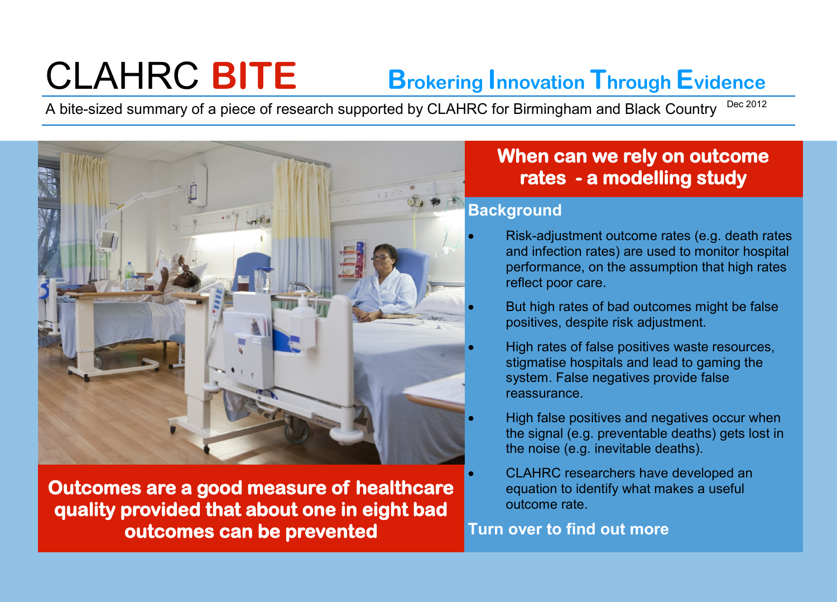# CLAHRC **BITE Brokering Innovation Through Evidence**

A bite-sized summary of a piece of research supported by CLAHRC for Birmingham and Black Country Dec 2012



**Outcomes are a good measure of healthcare quality provided that about one in eight bad outcomes can be prevented** 

# **When can we rely on outcome rates - a modelling study**

### **Background**

- Risk-adjustment outcome rates (e.g. death rates and infection rates) are used to monitor hospital performance, on the assumption that high rates reflect poor care.
- But high rates of bad outcomes might be false positives, despite risk adjustment.
- High rates of false positives waste resources, stigmatise hospitals and lead to gaming the system. False negatives provide false reassurance.
- High false positives and negatives occur when the signal (e.g. preventable deaths) gets lost in the noise (e.g. inevitable deaths).
- CLAHRC researchers have developed an equation to identify what makes a useful outcome rate.

#### **Turn over to find out more**